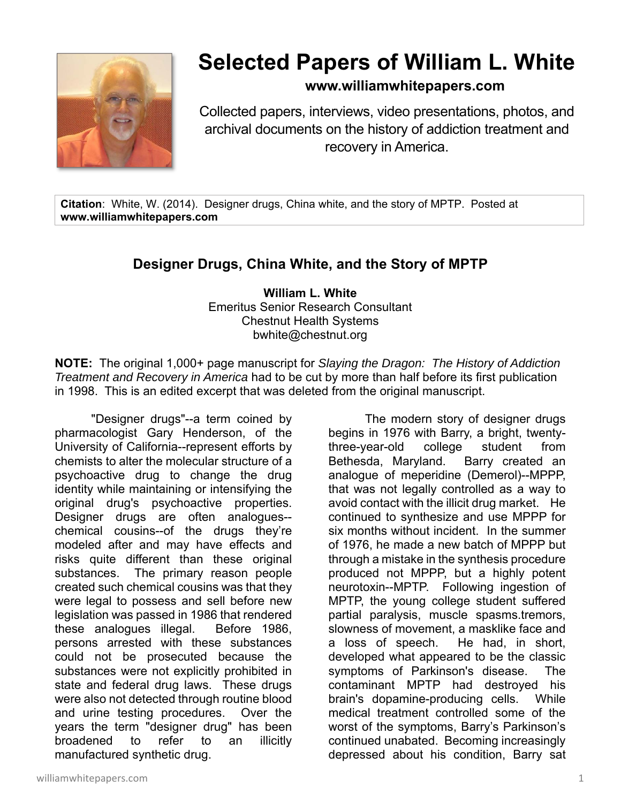

## **Selected Papers of William L. White**

## **www.williamwhitepapers.com**

Collected papers, interviews, video presentations, photos, and archival documents on the history of addiction treatment and recovery in America.

**Citation**: White, W. (2014). Designer drugs, China white, and the story of MPTP. Posted at **www.williamwhitepapers.com** 

## **Designer Drugs, China White, and the Story of MPTP**

**William L. White**  Emeritus Senior Research Consultant Chestnut Health Systems bwhite@chestnut.org

**NOTE:** The original 1,000+ page manuscript for *Slaying the Dragon: The History of Addiction Treatment and Recovery in America* had to be cut by more than half before its first publication in 1998. This is an edited excerpt that was deleted from the original manuscript.

"Designer drugs"--a term coined by pharmacologist Gary Henderson, of the University of California--represent efforts by chemists to alter the molecular structure of a psychoactive drug to change the drug identity while maintaining or intensifying the original drug's psychoactive properties. Designer drugs are often analogues- chemical cousins--of the drugs they're modeled after and may have effects and risks quite different than these original substances. The primary reason people created such chemical cousins was that they were legal to possess and sell before new legislation was passed in 1986 that rendered these analogues illegal. Before 1986, persons arrested with these substances could not be prosecuted because the substances were not explicitly prohibited in state and federal drug laws. These drugs were also not detected through routine blood and urine testing procedures. Over the years the term "designer drug" has been broadened to refer to an illicitly manufactured synthetic drug.

 The modern story of designer drugs begins in 1976 with Barry, a bright, twentythree-year-old college student from Bethesda, Maryland. Barry created an analogue of meperidine (Demerol)--MPPP, that was not legally controlled as a way to avoid contact with the illicit drug market. He continued to synthesize and use MPPP for six months without incident. In the summer of 1976, he made a new batch of MPPP but through a mistake in the synthesis procedure produced not MPPP, but a highly potent neurotoxin--MPTP. Following ingestion of MPTP, the young college student suffered partial paralysis, muscle spasms.tremors, slowness of movement, a masklike face and a loss of speech. He had, in short, developed what appeared to be the classic symptoms of Parkinson's disease. The contaminant MPTP had destroyed his brain's dopamine-producing cells. While medical treatment controlled some of the worst of the symptoms, Barry's Parkinson's continued unabated. Becoming increasingly depressed about his condition, Barry sat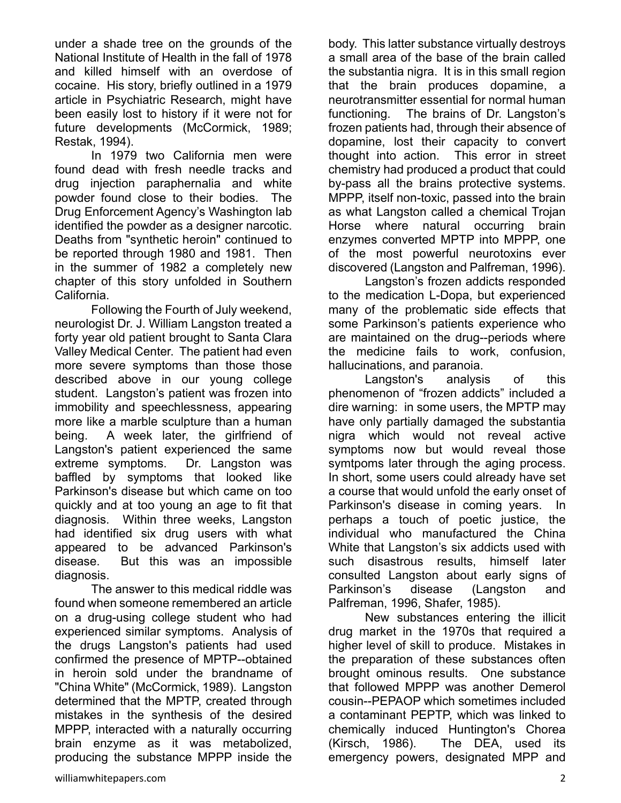under a shade tree on the grounds of the National Institute of Health in the fall of 1978 and killed himself with an overdose of cocaine. His story, briefly outlined in a 1979 article in Psychiatric Research, might have been easily lost to history if it were not for future developments (McCormick, 1989; Restak, 1994).

 In 1979 two California men were found dead with fresh needle tracks and drug injection paraphernalia and white powder found close to their bodies. The Drug Enforcement Agency's Washington lab identified the powder as a designer narcotic. Deaths from "synthetic heroin" continued to be reported through 1980 and 1981. Then in the summer of 1982 a completely new chapter of this story unfolded in Southern California.

 Following the Fourth of July weekend, neurologist Dr. J. William Langston treated a forty year old patient brought to Santa Clara Valley Medical Center. The patient had even more severe symptoms than those those described above in our young college student. Langston's patient was frozen into immobility and speechlessness, appearing more like a marble sculpture than a human being. A week later, the girlfriend of Langston's patient experienced the same extreme symptoms. Dr. Langston was baffled by symptoms that looked like Parkinson's disease but which came on too quickly and at too young an age to fit that diagnosis. Within three weeks, Langston had identified six drug users with what appeared to be advanced Parkinson's disease. But this was an impossible diagnosis.

 The answer to this medical riddle was found when someone remembered an article on a drug-using college student who had experienced similar symptoms. Analysis of the drugs Langston's patients had used confirmed the presence of MPTP--obtained in heroin sold under the brandname of "China White" (McCormick, 1989). Langston determined that the MPTP, created through mistakes in the synthesis of the desired MPPP, interacted with a naturally occurring brain enzyme as it was metabolized, producing the substance MPPP inside the

body. This latter substance virtually destroys a small area of the base of the brain called the substantia nigra. It is in this small region that the brain produces dopamine, a neurotransmitter essential for normal human functioning. The brains of Dr. Langston's frozen patients had, through their absence of dopamine, lost their capacity to convert thought into action. This error in street chemistry had produced a product that could by-pass all the brains protective systems. MPPP, itself non-toxic, passed into the brain as what Langston called a chemical Trojan Horse where natural occurring brain enzymes converted MPTP into MPPP, one of the most powerful neurotoxins ever discovered (Langston and Palfreman, 1996).

 Langston's frozen addicts responded to the medication L-Dopa, but experienced many of the problematic side effects that some Parkinson's patients experience who are maintained on the drug--periods where the medicine fails to work, confusion, hallucinations, and paranoia.

Langston's analysis of this phenomenon of "frozen addicts" included a dire warning: in some users, the MPTP may have only partially damaged the substantia nigra which would not reveal active symptoms now but would reveal those symtpoms later through the aging process. In short, some users could already have set a course that would unfold the early onset of Parkinson's disease in coming years. In perhaps a touch of poetic justice, the individual who manufactured the China White that Langston's six addicts used with such disastrous results, himself later consulted Langston about early signs of Parkinson's disease (Langston and Palfreman, 1996, Shafer, 1985).

 New substances entering the illicit drug market in the 1970s that required a higher level of skill to produce. Mistakes in the preparation of these substances often brought ominous results. One substance that followed MPPP was another Demerol cousin--PEPAOP which sometimes included a contaminant PEPTP, which was linked to chemically induced Huntington's Chorea (Kirsch, 1986). The DEA, used its emergency powers, designated MPP and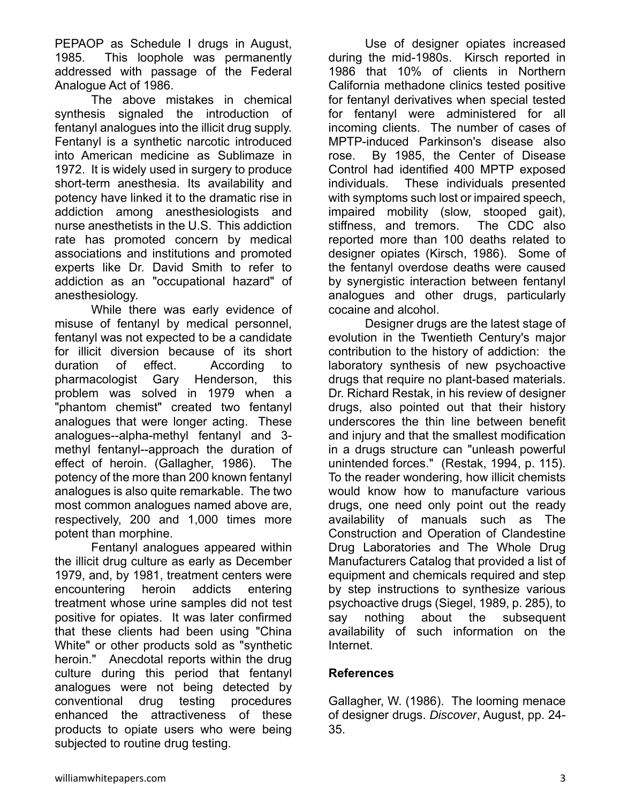PEPAOP as Schedule I drugs in August, 1985. This loophole was permanently addressed with passage of the Federal Analogue Act of 1986.

 The above mistakes in chemical synthesis signaled the introduction of fentanyl analogues into the illicit drug supply. Fentanyl is a synthetic narcotic introduced into American medicine as Sublimaze in 1972. It is widely used in surgery to produce short-term anesthesia. Its availability and potency have linked it to the dramatic rise in addiction among anesthesiologists and nurse anesthetists in the U.S. This addiction rate has promoted concern by medical associations and institutions and promoted experts like Dr. David Smith to refer to addiction as an "occupational hazard" of anesthesiology.

 While there was early evidence of misuse of fentanyl by medical personnel, fentanyl was not expected to be a candidate for illicit diversion because of its short duration of effect. According to pharmacologist Gary Henderson, this problem was solved in 1979 when a "phantom chemist" created two fentanyl analogues that were longer acting. These analogues--alpha-methyl fentanyl and 3 methyl fentanyl--approach the duration of effect of heroin. (Gallagher, 1986). The potency of the more than 200 known fentanyl analogues is also quite remarkable. The two most common analogues named above are, respectively, 200 and 1,000 times more potent than morphine.

 Fentanyl analogues appeared within the illicit drug culture as early as December 1979, and, by 1981, treatment centers were encountering heroin addicts entering treatment whose urine samples did not test positive for opiates. It was later confirmed that these clients had been using "China White" or other products sold as "synthetic heroin." Anecdotal reports within the drug culture during this period that fentanyl analogues were not being detected by conventional drug testing procedures enhanced the attractiveness of these products to opiate users who were being subjected to routine drug testing.

 Use of designer opiates increased during the mid-1980s. Kirsch reported in 1986 that 10% of clients in Northern California methadone clinics tested positive for fentanyl derivatives when special tested for fentanyl were administered for all incoming clients. The number of cases of MPTP-induced Parkinson's disease also rose. By 1985, the Center of Disease Control had identified 400 MPTP exposed individuals. These individuals presented with symptoms such lost or impaired speech, impaired mobility (slow, stooped gait), stiffness, and tremors. The CDC also reported more than 100 deaths related to designer opiates (Kirsch, 1986). Some of the fentanyl overdose deaths were caused by synergistic interaction between fentanyl analogues and other drugs, particularly cocaine and alcohol.

 Designer drugs are the latest stage of evolution in the Twentieth Century's major contribution to the history of addiction: the laboratory synthesis of new psychoactive drugs that require no plant-based materials. Dr. Richard Restak, in his review of designer drugs, also pointed out that their history underscores the thin line between benefit and injury and that the smallest modification in a drugs structure can "unleash powerful unintended forces." (Restak, 1994, p. 115). To the reader wondering, how illicit chemists would know how to manufacture various drugs, one need only point out the ready availability of manuals such as The Construction and Operation of Clandestine Drug Laboratories and The Whole Drug Manufacturers Catalog that provided a list of equipment and chemicals required and step by step instructions to synthesize various psychoactive drugs (Siegel, 1989, p. 285), to say nothing about the subsequent availability of such information on the Internet.

## **References**

Gallagher, W. (1986). The looming menace of designer drugs. *Discover*, August, pp. 24- 35.